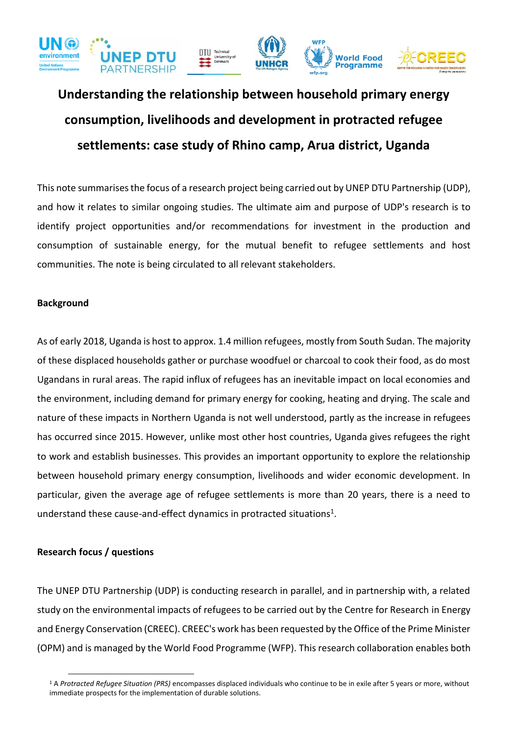

## **Understanding the relationship between household primary energy consumption, livelihoods and development in protracted refugee settlements: case study of Rhino camp, Arua district, Uganda**

This note summarisesthe focus of a research project being carried out by UNEP DTU Partnership (UDP), and how it relates to similar ongoing studies. The ultimate aim and purpose of UDP's research is to identify project opportunities and/or recommendations for investment in the production and consumption of sustainable energy, for the mutual benefit to refugee settlements and host communities. The note is being circulated to all relevant stakeholders.

## **Background**

As of early 2018, Uganda is host to approx. 1.4 million refugees, mostly from South Sudan. The majority of these displaced households gather or purchase woodfuel or charcoal to cook their food, as do most Ugandans in rural areas. The rapid influx of refugees has an inevitable impact on local economies and the environment, including demand for primary energy for cooking, heating and drying. The scale and nature of these impacts in Northern Uganda is not well understood, partly as the increase in refugees has occurred since 2015. However, unlike most other host countries, Uganda gives refugees the right to work and establish businesses. This provides an important opportunity to explore the relationship between household primary energy consumption, livelihoods and wider economic development. In particular, given the average age of refugee settlements is more than 20 years, there is a need to understand these cause-and-effect dynamics in protracted situations<sup>1</sup>.

## **Research focus / questions**

 $\overline{a}$ 

The UNEP DTU Partnership (UDP) is conducting research in parallel, and in partnership with, a related study on the environmental impacts of refugees to be carried out by the Centre for Research in Energy and Energy Conservation (CREEC). CREEC's work has been requested by the Office of the Prime Minister (OPM) and is managed by the World Food Programme (WFP). This research collaboration enables both

<sup>1</sup> A *Protracted Refugee Situation (PRS)* encompasses displaced individuals who continue to be in exile after 5 years or more, without immediate prospects for the implementation of durable solutions.